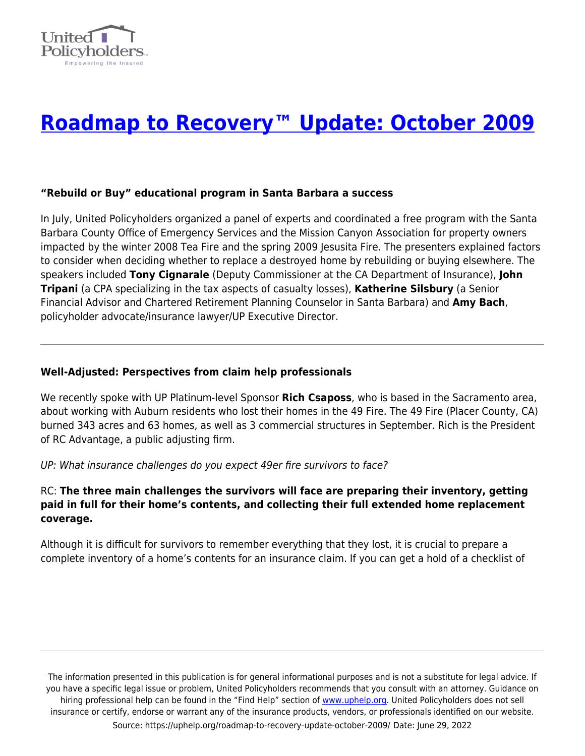

# **[Roadmap to Recovery™ Update: October 2009](https://uphelp.org/roadmap-to-recovery-update-october-2009/)**

## **"Rebuild or Buy" educational program in Santa Barbara a success**

In July, United Policyholders organized a panel of experts and coordinated a free program with the Santa Barbara County Office of Emergency Services and the Mission Canyon Association for property owners impacted by the winter 2008 Tea Fire and the spring 2009 Jesusita Fire. The presenters explained factors to consider when deciding whether to replace a destroyed home by rebuilding or buying elsewhere. The speakers included **Tony Cignarale** (Deputy Commissioner at the CA Department of Insurance), **John Tripani** (a CPA specializing in the tax aspects of casualty losses), **Katherine Silsbury** (a Senior Financial Advisor and Chartered Retirement Planning Counselor in Santa Barbara) and **Amy Bach**, policyholder advocate/insurance lawyer/UP Executive Director.

### **Well-Adjusted: Perspectives from claim help professionals**

We recently spoke with UP Platinum-level Sponsor **Rich Csaposs**, who is based in the Sacramento area, about working with Auburn residents who lost their homes in the 49 Fire. The 49 Fire (Placer County, CA) burned 343 acres and 63 homes, as well as 3 commercial structures in September. Rich is the President of RC Advantage, a public adjusting firm.

UP: What insurance challenges do you expect 49er fire survivors to face?

## RC: **The three main challenges the survivors will face are preparing their inventory, getting paid in full for their home's contents, and collecting their full extended home replacement coverage.**

Although it is difficult for survivors to remember everything that they lost, it is crucial to prepare a complete inventory of a home's contents for an insurance claim. If you can get a hold of a checklist of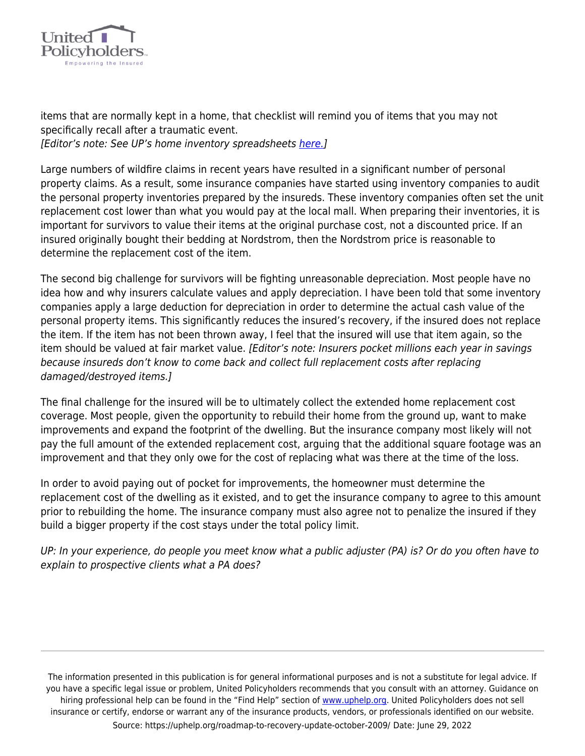

items that are normally kept in a home, that checklist will remind you of items that you may not specifically recall after a traumatic event. [Editor's note: See UP's home inventory spreadsheets [here.](https://uphelp.org/claim-guidance-publications/household-inventory-sample-spreadsheet/)]

Large numbers of wildfire claims in recent years have resulted in a significant number of personal property claims. As a result, some insurance companies have started using inventory companies to audit the personal property inventories prepared by the insureds. These inventory companies often set the unit replacement cost lower than what you would pay at the local mall. When preparing their inventories, it is important for survivors to value their items at the original purchase cost, not a discounted price. If an insured originally bought their bedding at Nordstrom, then the Nordstrom price is reasonable to determine the replacement cost of the item.

The second big challenge for survivors will be fighting unreasonable depreciation. Most people have no idea how and why insurers calculate values and apply depreciation. I have been told that some inventory companies apply a large deduction for depreciation in order to determine the actual cash value of the personal property items. This significantly reduces the insured's recovery, if the insured does not replace the item. If the item has not been thrown away, I feel that the insured will use that item again, so the item should be valued at fair market value. [Editor's note: Insurers pocket millions each year in savings because insureds don't know to come back and collect full replacement costs after replacing damaged/destroyed items.]

The final challenge for the insured will be to ultimately collect the extended home replacement cost coverage. Most people, given the opportunity to rebuild their home from the ground up, want to make improvements and expand the footprint of the dwelling. But the insurance company most likely will not pay the full amount of the extended replacement cost, arguing that the additional square footage was an improvement and that they only owe for the cost of replacing what was there at the time of the loss.

In order to avoid paying out of pocket for improvements, the homeowner must determine the replacement cost of the dwelling as it existed, and to get the insurance company to agree to this amount prior to rebuilding the home. The insurance company must also agree not to penalize the insured if they build a bigger property if the cost stays under the total policy limit.

UP: In your experience, do people you meet know what a public adjuster (PA) is? Or do you often have to explain to prospective clients what a PA does?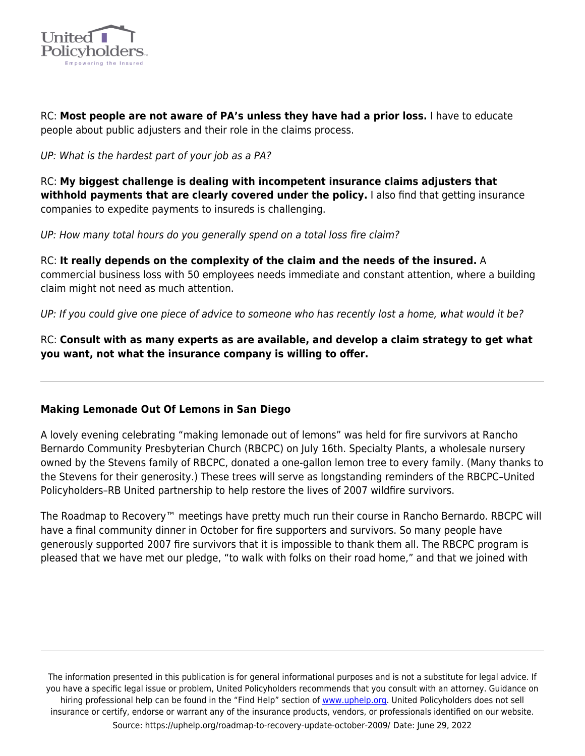

RC: **Most people are not aware of PA's unless they have had a prior loss.** I have to educate people about public adjusters and their role in the claims process.

UP: What is the hardest part of your job as a PA?

RC: **My biggest challenge is dealing with incompetent insurance claims adjusters that withhold payments that are clearly covered under the policy.** I also find that getting insurance companies to expedite payments to insureds is challenging.

UP: How many total hours do you generally spend on a total loss fire claim?

RC: **It really depends on the complexity of the claim and the needs of the insured.** A commercial business loss with 50 employees needs immediate and constant attention, where a building claim might not need as much attention.

UP: If you could give one piece of advice to someone who has recently lost a home, what would it be?

RC: **Consult with as many experts as are available, and develop a claim strategy to get what you want, not what the insurance company is willing to offer.**

## **Making Lemonade Out Of Lemons in San Diego**

A lovely evening celebrating "making lemonade out of lemons" was held for fire survivors at Rancho Bernardo Community Presbyterian Church (RBCPC) on July 16th. Specialty Plants, a wholesale nursery owned by the Stevens family of RBCPC, donated a one-gallon lemon tree to every family. (Many thanks to the Stevens for their generosity.) These trees will serve as longstanding reminders of the RBCPC–United Policyholders–RB United partnership to help restore the lives of 2007 wildfire survivors.

The Roadmap to Recovery™ meetings have pretty much run their course in Rancho Bernardo. RBCPC will have a final community dinner in October for fire supporters and survivors. So many people have generously supported 2007 fire survivors that it is impossible to thank them all. The RBCPC program is pleased that we have met our pledge, "to walk with folks on their road home," and that we joined with